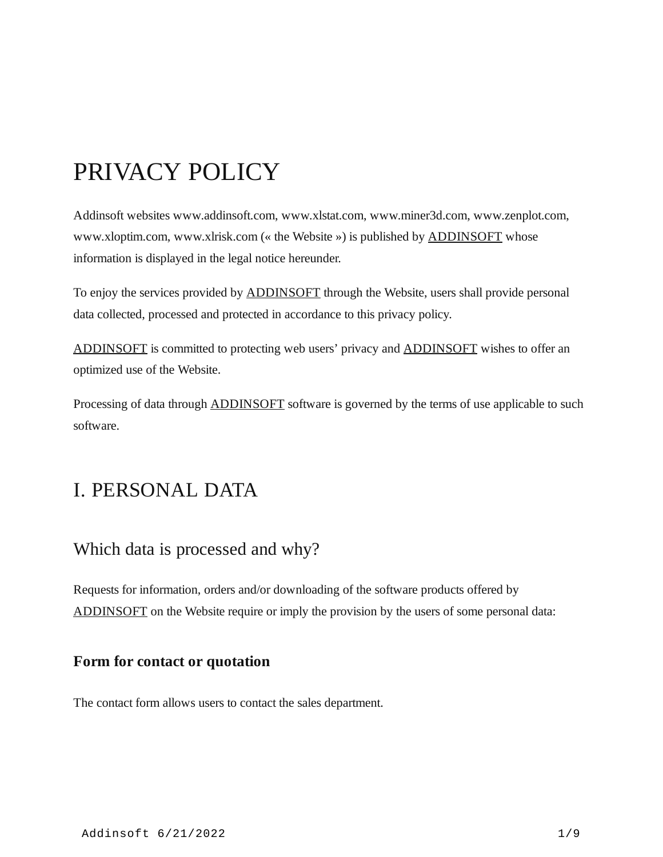# PRIVACY POLICY

Addinsoft websites www.addinsoft.com, www.xlstat.com, www.miner3d.com, www.zenplot.com, www.xloptim.com, www.xlrisk.com (« the Website ») is published by [ADDINSOFT](https://www.addinsoft.com/) whose information is displayed in the legal notice hereunder.

To enjoy the services provided by **[ADDINSOFT](https://www.addinsoft.com/)** through the Website, users shall provide personal data collected, processed and protected in accordance to this privacy policy.

[ADDINSOFT](https://www.addinsoft.com/) is committed to protecting web users' privacy and [ADDINSOFT](https://www.addinsoft.com/) wishes to offer an optimized use of the Website.

Processing of data through **ADDINSOFT** software is governed by the terms of use applicable to such software.

## I. PERSONAL DATA

### Which data is processed and why?

Requests for information, orders and/or downloading of the software products offered by [ADDINSOFT](https://www.addinsoft.com/) on the Website require or imply the provision by the users of some personal data:

### **Form for contact or quotation**

The contact form allows users to contact the sales department.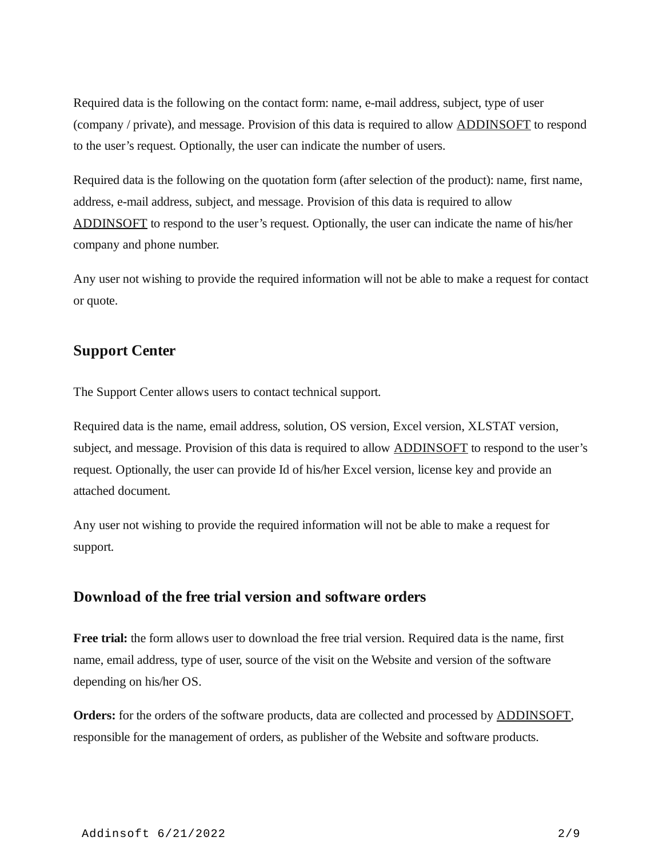Required data is the following on the contact form: name, e-mail address, subject, type of user (company / private), and message. Provision of this data is required to allow [ADDINSOFT](https://www.addinsoft.com/) to respond to the user's request. Optionally, the user can indicate the number of users.

Required data is the following on the quotation form (after selection of the product): name, first name, address, e-mail address, subject, and message. Provision of this data is required to allow [ADDINSOFT](https://www.addinsoft.com/) to respond to the user's request. Optionally, the user can indicate the name of his/her company and phone number.

Any user not wishing to provide the required information will not be able to make a request for contact or quote.

#### **Support Center**

The Support Center allows users to contact technical support.

Required data is the name, email address, solution, OS version, Excel version, XLSTAT version, subject, and message. Provision of this data is required to allow **[ADDINSOFT](https://www.addinsoft.com/)** to respond to the user's request. Optionally, the user can provide Id of his/her Excel version, license key and provide an attached document.

Any user not wishing to provide the required information will not be able to make a request for support.

#### **Download of the free trial version and software orders**

**Free trial:** the form allows user to download the free trial version. Required data is the name, first name, email address, type of user, source of the visit on the Website and version of the software depending on his/her OS.

**Orders:** for the orders of the software products, data are collected and processed by [ADDINSOFT](https://www.addinsoft.com/), responsible for the management of orders, as publisher of the Website and software products.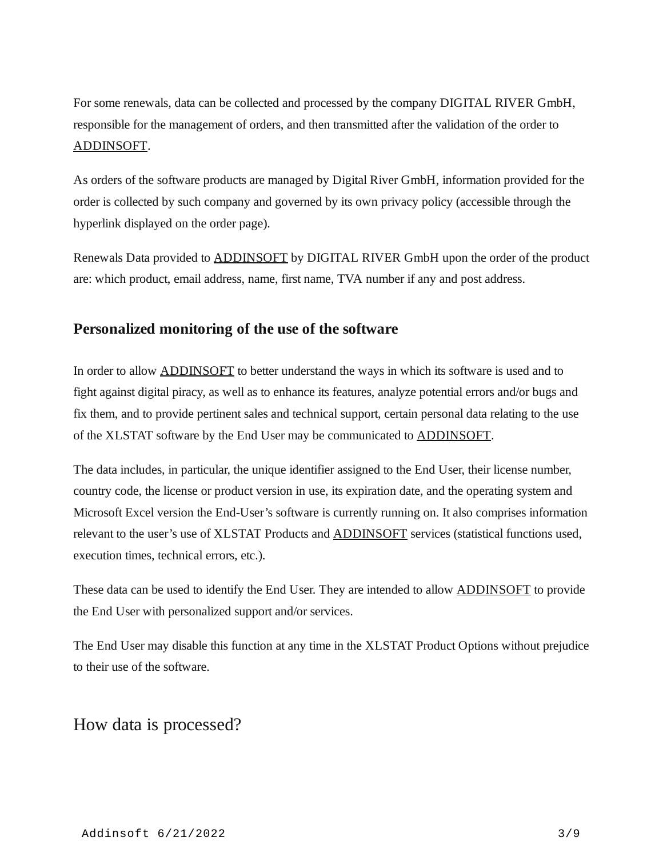For some renewals, data can be collected and processed by the company DIGITAL RIVER GmbH, responsible for the management of orders, and then transmitted after the validation of the order to [ADDINSOFT](https://www.addinsoft.com/).

As orders of the software products are managed by Digital River GmbH, information provided for the order is collected by such company and governed by its own privacy policy (accessible through the hyperlink displayed on the order page).

Renewals Data provided to [ADDINSOFT](https://www.addinsoft.com/) by DIGITAL RIVER GmbH upon the order of the product are: which product, email address, name, first name, TVA number if any and post address.

### **Personalized monitoring of the use of the software**

In order to allow [ADDINSOFT](https://www.addinsoft.com/) to better understand the ways in which its software is used and to fight against digital piracy, as well as to enhance its features, analyze potential errors and/or bugs and fix them, and to provide pertinent sales and technical support, certain personal data relating to the use of the XLSTAT software by the End User may be communicated to [ADDINSOFT.](https://www.addinsoft.com/)

The data includes, in particular, the unique identifier assigned to the End User, their license number, country code, the license or product version in use, its expiration date, and the operating system and Microsoft Excel version the End-User's software is currently running on. It also comprises information relevant to the user's use of XLSTAT Products and **[ADDINSOFT](https://www.addinsoft.com/)** services (statistical functions used, execution times, technical errors, etc.).

These data can be used to identify the End User. They are intended to allow [ADDINSOFT](https://www.addinsoft.com/) to provide the End User with personalized support and/or services.

The End User may disable this function at any time in the XLSTAT Product Options without prejudice to their use of the software.

### How data is processed?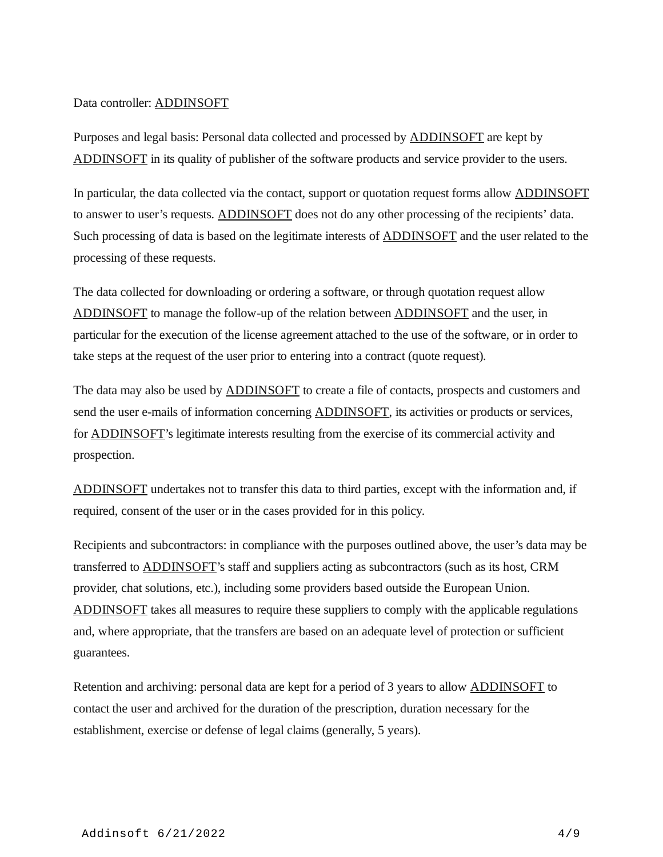#### Data controller: [ADDINSOFT](https://www.addinsoft.com/)

Purposes and legal basis: Personal data collected and processed by [ADDINSOFT](https://www.addinsoft.com/) are kept by [ADDINSOFT](https://www.addinsoft.com/) in its quality of publisher of the software products and service provider to the users.

In particular, the data collected via the contact, support or quotation request forms allow **[ADDINSOFT](https://www.addinsoft.com/)** to answer to user's requests. [ADDINSOFT](https://www.addinsoft.com/) does not do any other processing of the recipients' data. Such processing of data is based on the legitimate interests of **ADDINSOFT** and the user related to the processing of these requests.

The data collected for downloading or ordering a software, or through quotation request allow [ADDINSOFT](https://www.addinsoft.com/) to manage the follow-up of the relation between [ADDINSOFT](https://www.addinsoft.com/) and the user, in particular for the execution of the license agreement attached to the use of the software, or in order to take steps at the request of the user prior to entering into a contract (quote request).

The data may also be used by [ADDINSOFT](https://www.addinsoft.com/) to create a file of contacts, prospects and customers and send the user e-mails of information concerning [ADDINSOFT](https://www.addinsoft.com/), its activities or products or services, for [ADDINSOFT](https://www.addinsoft.com/)'s legitimate interests resulting from the exercise of its commercial activity and prospection.

[ADDINSOFT](https://www.addinsoft.com/) undertakes not to transfer this data to third parties, except with the information and, if required, consent of the user or in the cases provided for in this policy.

Recipients and subcontractors: in compliance with the purposes outlined above, the user's data may be transferred to [ADDINSOFT](https://www.addinsoft.com/)'s staff and suppliers acting as subcontractors (such as its host, CRM provider, chat solutions, etc.), including some providers based outside the European Union. [ADDINSOFT](https://www.addinsoft.com/) takes all measures to require these suppliers to comply with the applicable regulations and, where appropriate, that the transfers are based on an adequate level of protection or sufficient guarantees.

Retention and archiving: personal data are kept for a period of 3 years to allow **ADDINSOFT** to contact the user and archived for the duration of the prescription, duration necessary for the establishment, exercise or defense of legal claims (generally, 5 years).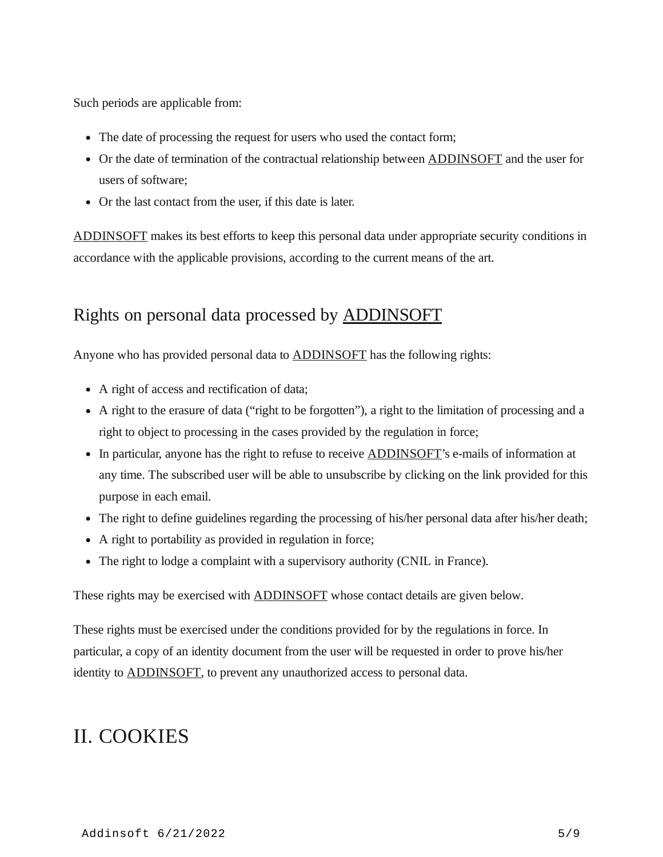Such periods are applicable from:

- The date of processing the request for users who used the contact form;
- Or the date of termination of the contractual relationship between **ADDINSOFT** and the user for users of software;
- Or the last contact from the user, if this date is later.

[ADDINSOFT](https://www.addinsoft.com/) makes its best efforts to keep this personal data under appropriate security conditions in accordance with the applicable provisions, according to the current means of the art.

### Rights on personal data processed by [ADDINSOFT](https://www.addinsoft.com/)

Anyone who has provided personal data to **ADDINSOFT** has the following rights:

- A right of access and rectification of data;
- A right to the erasure of data ("right to be forgotten"), a right to the limitation of processing and a right to object to processing in the cases provided by the regulation in force;
- In particular, anyone has the right to refuse to receive [ADDINSOFT'](https://www.addinsoft.com/)s e-mails of information at any time. The subscribed user will be able to unsubscribe by clicking on the link provided for this purpose in each email.
- The right to define guidelines regarding the processing of his/her personal data after his/her death;
- A right to portability as provided in regulation in force;
- The right to lodge a complaint with a supervisory authority (CNIL in France).

These rights may be exercised with **ADDINSOFT** whose contact details are given below.

These rights must be exercised under the conditions provided for by the regulations in force. In particular, a copy of an identity document from the user will be requested in order to prove his/her identity to **ADDINSOFT**, to prevent any unauthorized access to personal data.

## II. COOKIES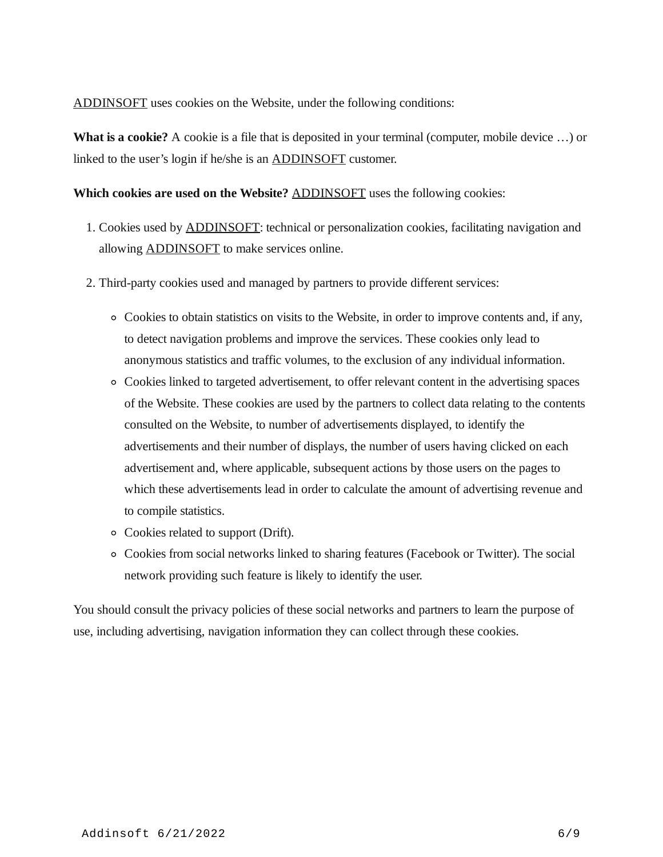[ADDINSOFT](https://www.addinsoft.com/) uses cookies on the Website, under the following conditions:

**What is a cookie?** A cookie is a file that is deposited in your terminal (computer, mobile device …) or linked to the user's login if he/she is an [ADDINSOFT](https://www.addinsoft.com/) customer.

#### **Which cookies are used on the Website?** [ADDINSOFT](https://www.addinsoft.com/) uses the following cookies:

- 1. Cookies used by [ADDINSOFT](https://www.addinsoft.com/): technical or personalization cookies, facilitating navigation and allowing **[ADDINSOFT](https://www.addinsoft.com/)** to make services online.
- 2. Third-party cookies used and managed by partners to provide different services:
	- $\circ$  Cookies to obtain statistics on visits to the Website, in order to improve contents and, if any, to detect navigation problems and improve the services. These cookies only lead to anonymous statistics and traffic volumes, to the exclusion of any individual information.
	- Cookies linked to targeted advertisement, to offer relevant content in the advertising spaces of the Website. These cookies are used by the partners to collect data relating to the contents consulted on the Website, to number of advertisements displayed, to identify the advertisements and their number of displays, the number of users having clicked on each advertisement and, where applicable, subsequent actions by those users on the pages to which these advertisements lead in order to calculate the amount of advertising revenue and to compile statistics.
	- Cookies related to support (Drift).
	- Cookies from social networks linked to sharing features (Facebook or Twitter). The social network providing such feature is likely to identify the user.

You should consult the privacy policies of these social networks and partners to learn the purpose of use, including advertising, navigation information they can collect through these cookies.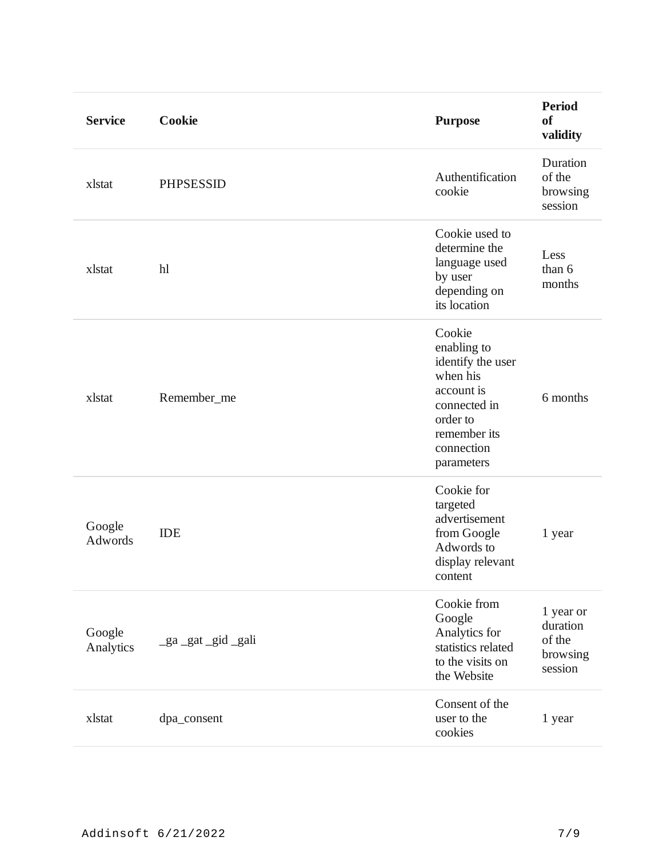| <b>Service</b>      | Cookie           | <b>Purpose</b>                                                                                                                               | <b>Period</b><br>of<br>validity                        |
|---------------------|------------------|----------------------------------------------------------------------------------------------------------------------------------------------|--------------------------------------------------------|
| xlstat              | <b>PHPSESSID</b> | Authentification<br>cookie                                                                                                                   | Duration<br>of the<br>browsing<br>session              |
| xlstat              | h                | Cookie used to<br>determine the<br>language used<br>by user<br>depending on<br>its location                                                  | Less<br>than 6<br>months                               |
| xlstat              | Remember_me      | Cookie<br>enabling to<br>identify the user<br>when his<br>account is<br>connected in<br>order to<br>remember its<br>connection<br>parameters | 6 months                                               |
| Google<br>Adwords   | <b>IDE</b>       | Cookie for<br>targeted<br>advertisement<br>from Google<br>Adwords to<br>display relevant<br>content                                          | 1 year                                                 |
| Google<br>Analytics | _ga_gat_gid_gali | Cookie from<br>Google<br>Analytics for<br>statistics related<br>to the visits on<br>the Website                                              | 1 year or<br>duration<br>of the<br>browsing<br>session |
| xlstat              | dpa_consent      | Consent of the<br>user to the<br>cookies                                                                                                     | 1 year                                                 |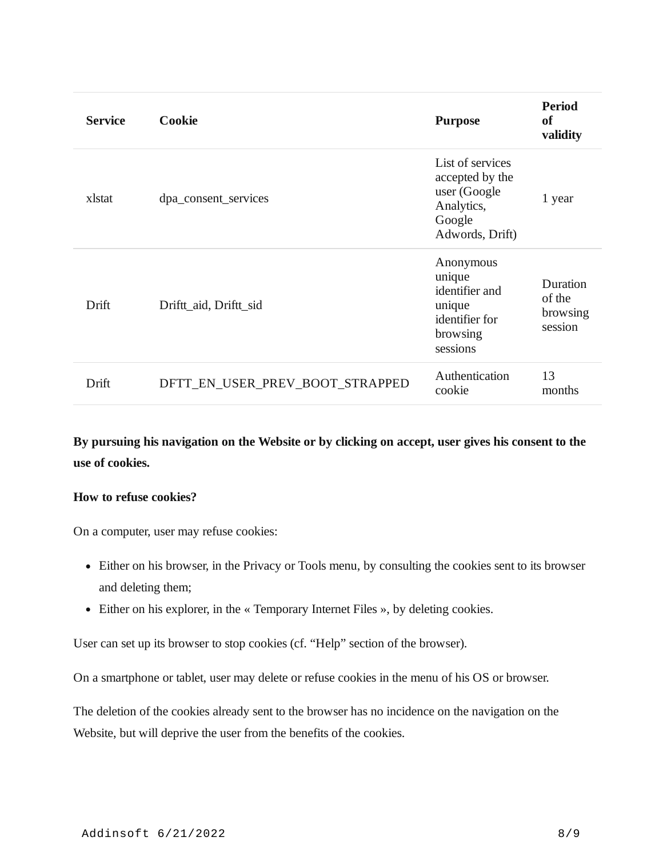| <b>Service</b> | Cookie                          | <b>Purpose</b>                                                                                 | <b>Period</b><br>of<br>validity           |
|----------------|---------------------------------|------------------------------------------------------------------------------------------------|-------------------------------------------|
| xlstat         | dpa_consent_services            | List of services<br>accepted by the<br>user (Google<br>Analytics,<br>Google<br>Adwords, Drift) | 1 year                                    |
| Drift          | Driftt_aid, Driftt_sid          | Anonymous<br>unique<br>identifier and<br>unique<br>identifier for<br>browsing<br>sessions      | Duration<br>of the<br>browsing<br>session |
| Drift          | DFTT_EN_USER_PREV_BOOT_STRAPPED | Authentication<br>cookie                                                                       | 13<br>months                              |

**By pursuing his navigation on the Website or by clicking on accept, user gives his consent to the use of cookies.**

#### **How to refuse cookies?**

On a computer, user may refuse cookies:

- Either on his browser, in the Privacy or Tools menu, by consulting the cookies sent to its browser and deleting them;
- Either on his explorer, in the « Temporary Internet Files », by deleting cookies.

User can set up its browser to stop cookies (cf. "Help" section of the browser).

On a smartphone or tablet, user may delete or refuse cookies in the menu of his OS or browser.

The deletion of the cookies already sent to the browser has no incidence on the navigation on the Website, but will deprive the user from the benefits of the cookies.